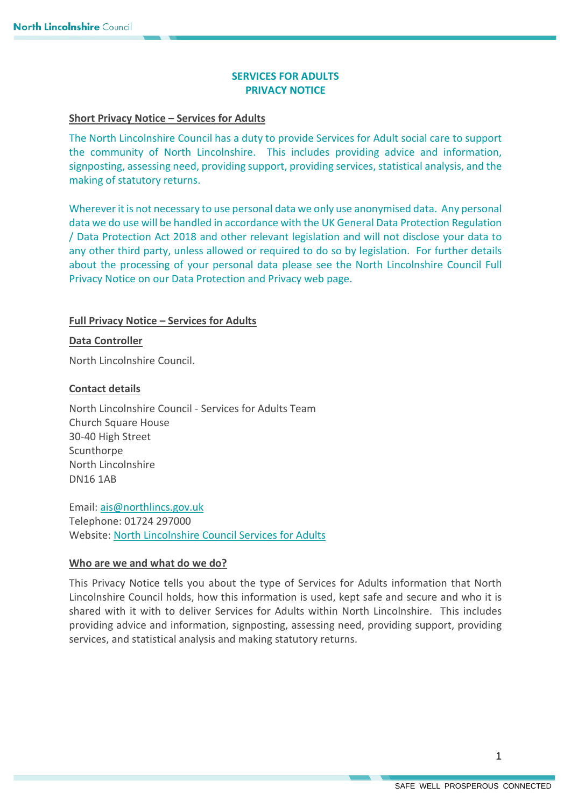# **SERVICES FOR ADULTS PRIVACY NOTICE**

### **Short Privacy Notice – Services for Adults**

The North Lincolnshire Council has a duty to provide Services for Adult social care to support the community of North Lincolnshire. This includes providing advice and information, signposting, assessing need, providing support, providing services, statistical analysis, and the making of statutory returns.

Wherever it is not necessary to use personal data we only use anonymised data. Any personal data we do use will be handled in accordance with the UK General Data Protection Regulation / Data Protection Act 2018 and other relevant legislation and will not disclose your data to any other third party, unless allowed or required to do so by legislation. For further details about the processing of your personal data please see the North Lincolnshire Council Full Privacy Notice on our Data Protection and Privacy web page.

# **Full Privacy Notice – Services for Adults**

### **Data Controller**

North Lincolnshire Council.

### **Contact details**

North Lincolnshire Council - Services for Adults Team Church Square House 30-40 High Street Scunthorpe North Lincolnshire DN16 1AB

Email: [ais@northlincs.gov.uk](mailto:ais@northlincs.gov.uk) Telephone: 01724 297000 Website: [North Lincolnshire Council Services for Adults](https://www.northlincs.gov.uk/people-health-and-care/find-local-care-and-support-for-adults-or-older-people/getting-care-and-support/services-for-adults/#1528192565002-12587352-bf30d4f8-653c)

# **Who are we and what do we do?**

This Privacy Notice tells you about the type of Services for Adults information that North Lincolnshire Council holds, how this information is used, kept safe and secure and who it is shared with it with to deliver Services for Adults within North Lincolnshire. This includes providing advice and information, signposting, assessing need, providing support, providing services, and statistical analysis and making statutory returns.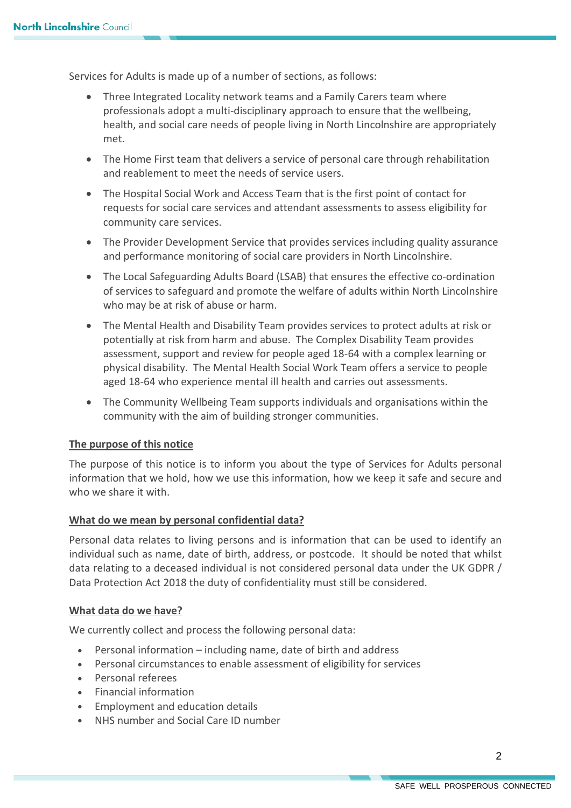Services for Adults is made up of a number of sections, as follows:

- Three Integrated Locality network teams and a Family Carers team where professionals adopt a multi-disciplinary approach to ensure that the wellbeing, health, and social care needs of people living in North Lincolnshire are appropriately met.
- The Home First team that delivers a service of personal care through rehabilitation and reablement to meet the needs of service users.
- The Hospital Social Work and Access Team that is the first point of contact for requests for social care services and attendant assessments to assess eligibility for community care services.
- The Provider Development Service that provides services including quality assurance and performance monitoring of social care providers in North Lincolnshire.
- The Local Safeguarding Adults Board (LSAB) that ensures the effective co-ordination of services to safeguard and promote the welfare of adults within North Lincolnshire who may be at risk of abuse or harm.
- The Mental Health and Disability Team provides services to protect adults at risk or potentially at risk from harm and abuse. The Complex Disability Team provides assessment, support and review for people aged 18-64 with a complex learning or physical disability. The Mental Health Social Work Team offers a service to people aged 18-64 who experience mental ill health and carries out assessments.
- The Community Wellbeing Team supports individuals and organisations within the community with the aim of building stronger communities.

# **The purpose of this notice**

The purpose of this notice is to inform you about the type of Services for Adults personal information that we hold, how we use this information, how we keep it safe and secure and who we share it with.

# **What do we mean by personal confidential data?**

Personal data relates to living persons and is information that can be used to identify an individual such as name, date of birth, address, or postcode. It should be noted that whilst data relating to a deceased individual is not considered personal data under the UK GDPR / Data Protection Act 2018 the duty of confidentiality must still be considered.

# **What data do we have?**

We currently collect and process the following personal data:

- Personal information including name, date of birth and address
- Personal circumstances to enable assessment of eligibility for services
- Personal referees
- Financial information
- Employment and education details
- NHS number and Social Care ID number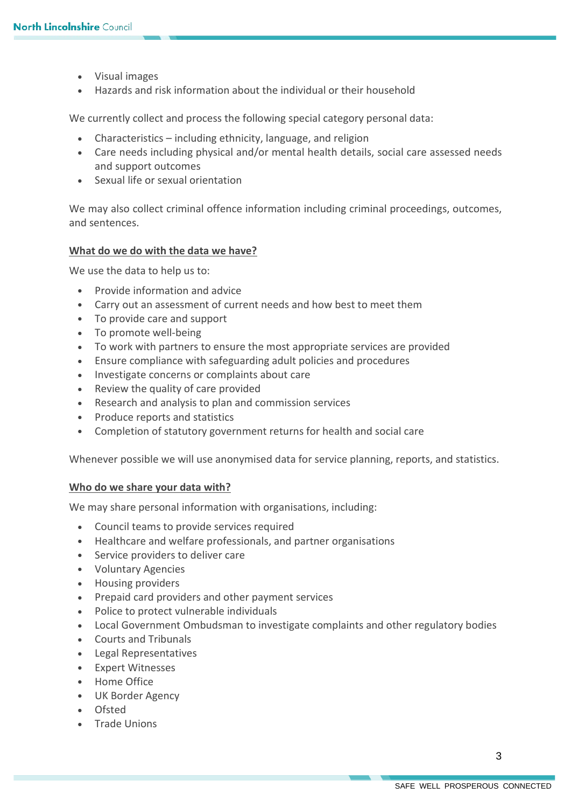- Visual images
- Hazards and risk information about the individual or their household

We currently collect and process the following special category personal data:

- Characteristics including ethnicity, language, and religion
- Care needs including physical and/or mental health details, social care assessed needs and support outcomes
- Sexual life or sexual orientation

We may also collect criminal offence information including criminal proceedings, outcomes, and sentences.

#### **What do we do with the data we have?**

We use the data to help us to:

- Provide information and advice
- Carry out an assessment of current needs and how best to meet them
- To provide care and support
- To promote well-being
- To work with partners to ensure the most appropriate services are provided
- Ensure compliance with safeguarding adult policies and procedures
- Investigate concerns or complaints about care
- Review the quality of care provided
- Research and analysis to plan and commission services
- Produce reports and statistics
- Completion of statutory government returns for health and social care

Whenever possible we will use anonymised data for service planning, reports, and statistics.

#### **Who do we share your data with?**

We may share personal information with organisations, including:

- Council teams to provide services required
- Healthcare and welfare professionals, and partner organisations
- Service providers to deliver care
- Voluntary Agencies
- Housing providers
- Prepaid card providers and other payment services
- Police to protect vulnerable individuals
- Local Government Ombudsman to investigate complaints and other regulatory bodies
- Courts and Tribunals
- Legal Representatives
- Expert Witnesses
- Home Office
- UK Border Agency
- Ofsted
- Trade Unions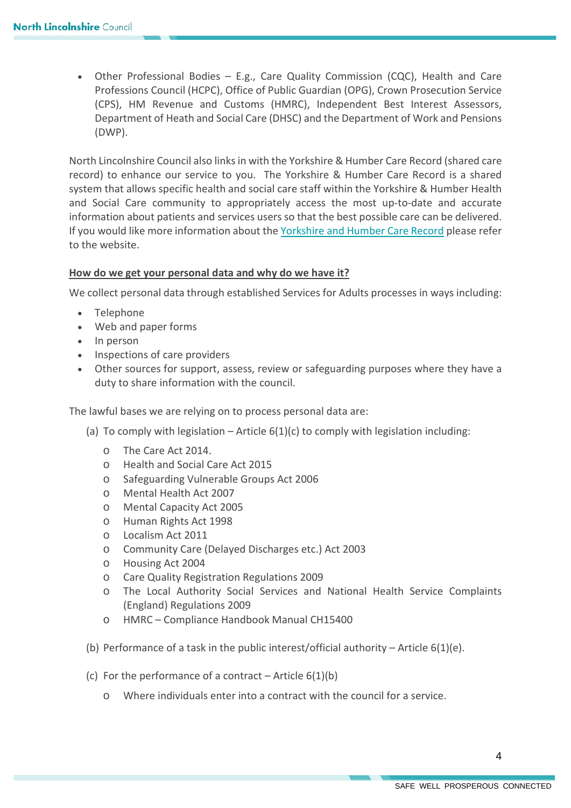• Other Professional Bodies – E.g., Care Quality Commission (CQC), Health and Care Professions Council (HCPC), Office of Public Guardian (OPG), Crown Prosecution Service (CPS), HM Revenue and Customs (HMRC), Independent Best Interest Assessors, Department of Heath and Social Care (DHSC) and the Department of Work and Pensions (DWP).

North Lincolnshire Council also links in with the Yorkshire & Humber Care Record (shared care record) to enhance our service to you. The Yorkshire & Humber Care Record is a shared system that allows specific health and social care staff within the Yorkshire & Humber Health and Social Care community to appropriately access the most up-to-date and accurate information about patients and services users so that the best possible care can be delivered. If you would like more information about th[e Yorkshire and Humber Care Record](https://yhcr.org/) please refer to the website.

### **How do we get your personal data and why do we have it?**

We collect personal data through established Services for Adults processes in ways including:

- Telephone
- Web and paper forms
- In person
- Inspections of care providers
- Other sources for support, assess, review or safeguarding purposes where they have a duty to share information with the council.

The lawful bases we are relying on to process personal data are:

- (a) To comply with legislation Article  $6(1)(c)$  to comply with legislation including:
	- o The Care Act 2014.
	- o Health and Social Care Act 2015
	- o Safeguarding Vulnerable Groups Act 2006
	- o Mental Health Act 2007
	- o Mental Capacity Act 2005
	- o Human Rights Act 1998
	- o Localism Act 2011
	- o Community Care (Delayed Discharges etc.) Act 2003
	- o Housing Act 2004
	- o Care Quality Registration Regulations 2009
	- o The Local Authority Social Services and National Health Service Complaints (England) Regulations 2009
	- o HMRC Compliance Handbook Manual CH15400
- (b) Performance of a task in the public interest/official authority Article  $6(1)(e)$ .
- (c) For the performance of a contract Article  $6(1)(b)$ 
	- o Where individuals enter into a contract with the council for a service.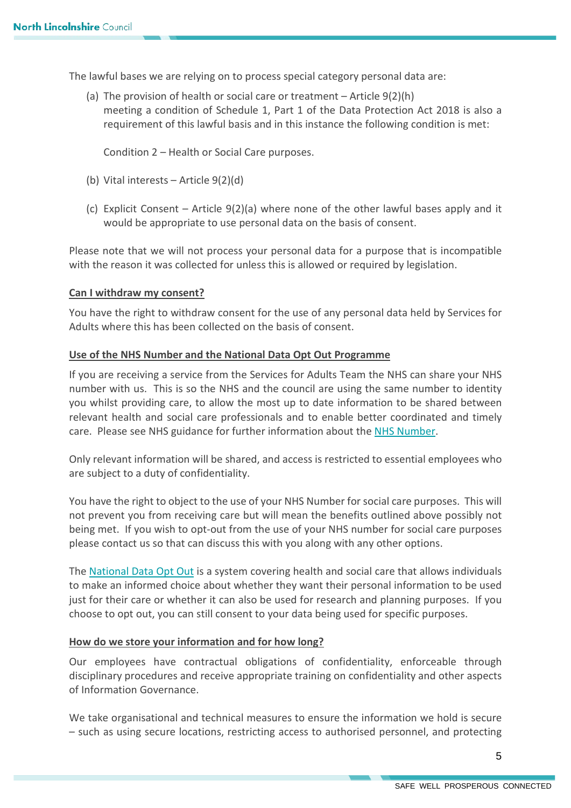The lawful bases we are relying on to process special category personal data are:

(a) The provision of health or social care or treatment – Article 9(2)(h) meeting a condition of Schedule 1, Part 1 of the Data Protection Act 2018 is also a requirement of this lawful basis and in this instance the following condition is met:

Condition 2 – Health or Social Care purposes.

- (b) Vital interests Article 9(2)(d)
- (c) Explicit Consent Article  $9(2)(a)$  where none of the other lawful bases apply and it would be appropriate to use personal data on the basis of consent.

Please note that we will not process your personal data for a purpose that is incompatible with the reason it was collected for unless this is allowed or required by legislation.

#### **Can I withdraw my consent?**

You have the right to withdraw consent for the use of any personal data held by Services for Adults where this has been collected on the basis of consent.

### **Use of the NHS Number and the National Data Opt Out Programme**

If you are receiving a service from the Services for Adults Team the NHS can share your NHS number with us. This is so the NHS and the council are using the same number to identity you whilst providing care, to allow the most up to date information to be shared between relevant health and social care professionals and to enable better coordinated and timely care. Please see NHS guidance for further information about the [NHS Number.](https://www.nhs.uk/using-the-nhs/about-the-nhs/what-is-an-nhs-number/)

Only relevant information will be shared, and access is restricted to essential employees who are subject to a duty of confidentiality.

You have the right to object to the use of your NHS Number for social care purposes. This will not prevent you from receiving care but will mean the benefits outlined above possibly not being met. If you wish to opt-out from the use of your NHS number for social care purposes please contact us so that can discuss this with you along with any other options.

The [National Data Opt Out](https://digital.nhs.uk/services/national-data-opt-out) is a system covering health and social care that allows individuals to make an informed choice about whether they want their personal information to be used just for their care or whether it can also be used for research and planning purposes. If you choose to opt out, you can still consent to your data being used for specific purposes.

#### **How do we store your information and for how long?**

Our employees have contractual obligations of confidentiality, enforceable through disciplinary procedures and receive appropriate training on confidentiality and other aspects of Information Governance.

We take organisational and technical measures to ensure the information we hold is secure – such as using secure locations, restricting access to authorised personnel, and protecting